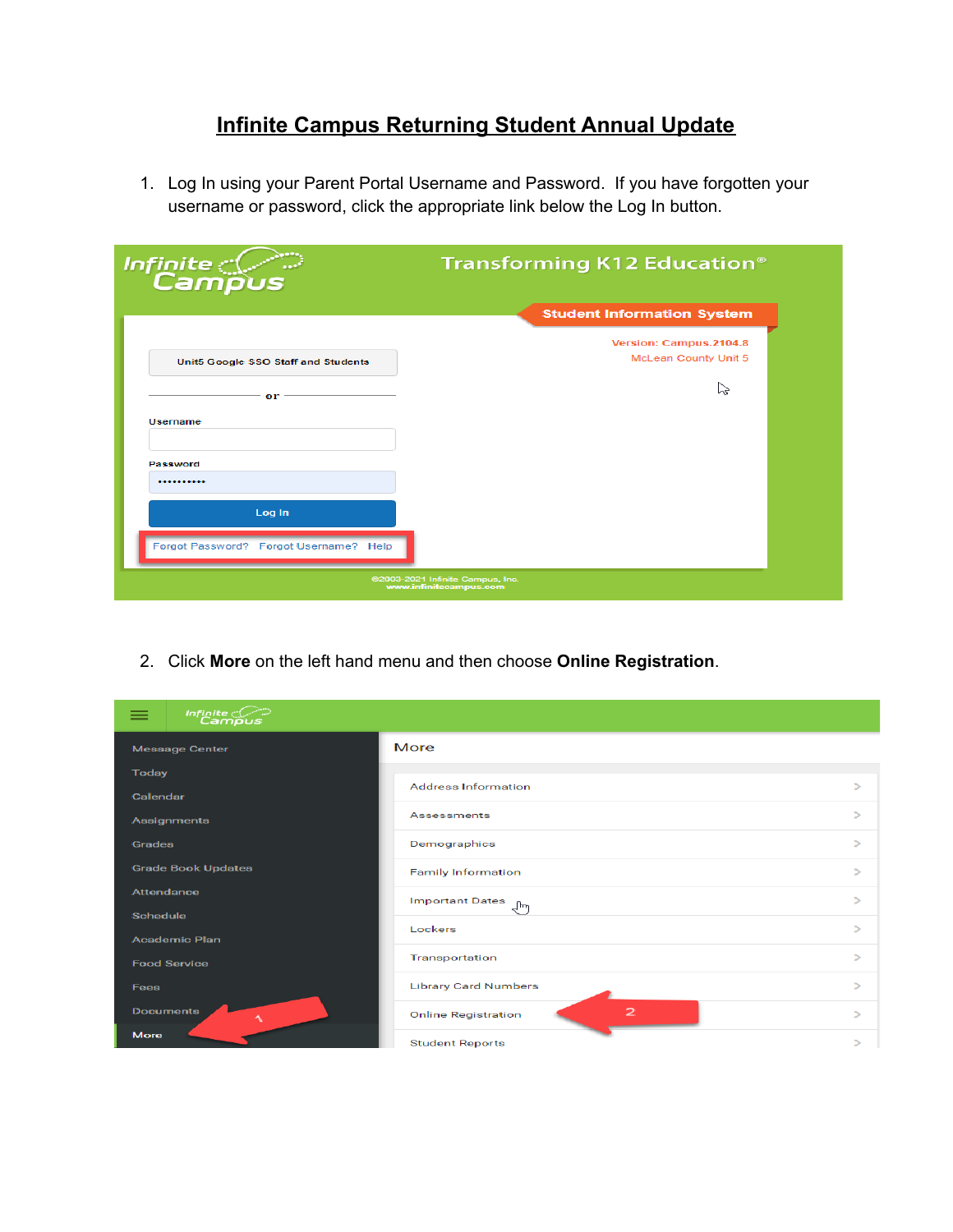## **Infinite Campus Returning Student Annual Update**

1. Log In using your Parent Portal Username and Password. If you have forgotten your username or password, click the appropriate link below the Log In button.

| Infinite<br>Campus                                         | Transforming K12 Education <sup>®</sup>        |  |  |  |
|------------------------------------------------------------|------------------------------------------------|--|--|--|
|                                                            | <b>Student Information System</b>              |  |  |  |
| Unit5 Google SSO Staff and Students                        | Version: Campus.2104.8<br>McLean County Unit 5 |  |  |  |
| or                                                         | いく                                             |  |  |  |
| Username                                                   |                                                |  |  |  |
| Password<br>                                               |                                                |  |  |  |
| Log In                                                     |                                                |  |  |  |
| Forgot Password? Forgot Username? Help                     |                                                |  |  |  |
| @2003-2021 Infinite Campus, Inc.<br>www.infinitecampus.com |                                                |  |  |  |

2. Click **More** on the left hand menu and then choose **Online Registration**.

| Infinite Co               |                                            |               |
|---------------------------|--------------------------------------------|---------------|
| <b>Message Center</b>     | More                                       |               |
| <b>Today</b>              |                                            |               |
| Calendar                  | <b>Address Information</b>                 | $\geq$        |
| Assignments               | <b>Assessments</b>                         | $\geq$        |
| <b>Grades</b>             | Demographics                               | $\rightarrow$ |
| <b>Grade Book Updates</b> | <b>Family Information</b>                  | $\geq$        |
| <b>Attendance</b>         | <b>Important Dates</b><br>Վիդ              | $\rightarrow$ |
| <b>Schedule</b>           |                                            |               |
| <b>Academic Plan</b>      | Lockers                                    | $\rightarrow$ |
| <b>Food Service</b>       | Transportation                             | $\geq$        |
| <b>Fees</b>               | <b>Library Card Numbers</b>                | $\rightarrow$ |
| <b>Documents</b>          | $\mathbf{z}$<br><b>Online Registration</b> | $\geq$        |
| <b>More</b>               | <b>Student Reports</b>                     |               |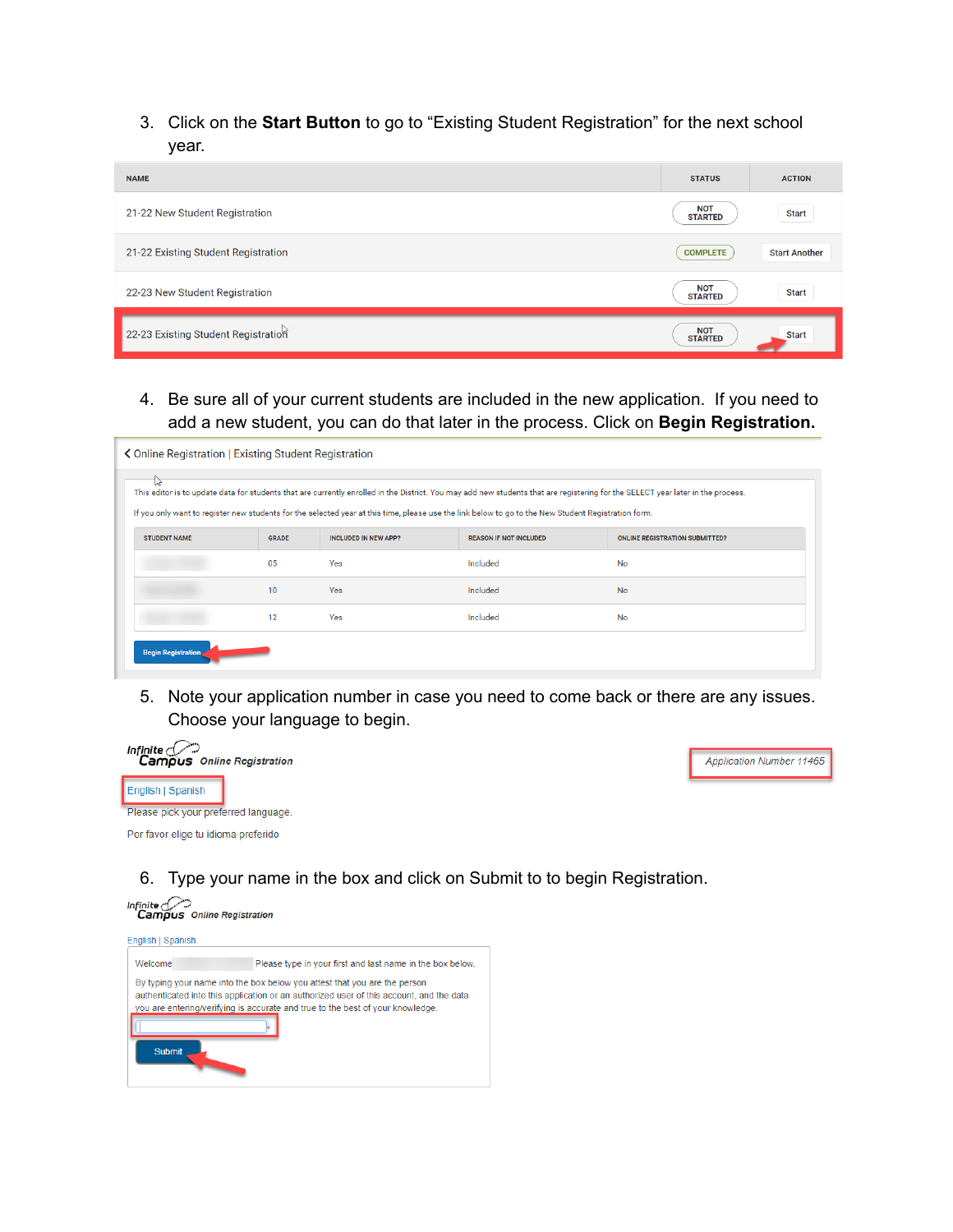3. Click on the **Start Button** to go to "Existing Student Registration" for the next school year.

| <b>NAME</b>                         | <b>STATUS</b>                | <b>ACTION</b>        |
|-------------------------------------|------------------------------|----------------------|
| 21-22 New Student Registration      | <b>NOT</b><br><b>STARTED</b> | <b>Start</b>         |
| 21-22 Existing Student Registration | <b>COMPLETE</b>              | <b>Start Another</b> |
| 22-23 New Student Registration      | <b>NOT</b><br><b>STARTED</b> | <b>Start</b>         |
| 22-23 Existing Student Registration | <b>NOT</b><br><b>STARTED</b> | <b>Start</b>         |

4. Be sure all of your current students are included in the new application. If you need to add a new student, you can do that later in the process. Click on **Begin Registration.**

| ľΥ<br>This editor is to update data for students that are currently enrolled in the District. You may add new students that are registering for the SELECT year later in the process.<br>If you only want to register new students for the selected year at this time, please use the link below to go to the New Student Registration form. |              |                             |                               |                                       |  |
|----------------------------------------------------------------------------------------------------------------------------------------------------------------------------------------------------------------------------------------------------------------------------------------------------------------------------------------------|--------------|-----------------------------|-------------------------------|---------------------------------------|--|
| <b>STUDENT NAME</b>                                                                                                                                                                                                                                                                                                                          | <b>GRADE</b> | <b>INCLUDED IN NEW APP?</b> | <b>REASON IF NOT INCLUDED</b> | <b>ONLINE REGISTRATION SUBMITTED?</b> |  |
|                                                                                                                                                                                                                                                                                                                                              | 05           | Yes                         | Included                      | No                                    |  |
|                                                                                                                                                                                                                                                                                                                                              | 10           | Yes                         | Included                      | <b>No</b>                             |  |
|                                                                                                                                                                                                                                                                                                                                              | 12           | Yes                         | Included                      | No                                    |  |

5. Note your application number in case you need to come back or there are any issues. Choose your language to begin.



**Application Number 11465** 

6. Type your name in the box and click on Submit to to begin Registration.

**Infinite**<br>**Campus** Online Registration English | Spanish Please type in your first and last name in the box below. Welcome By typing your name into the box below you attest that you are the person authenticated into this application or an authorized user of this account, and the data you are entering/verifying is accurate and true to the best of your knowledge. Submit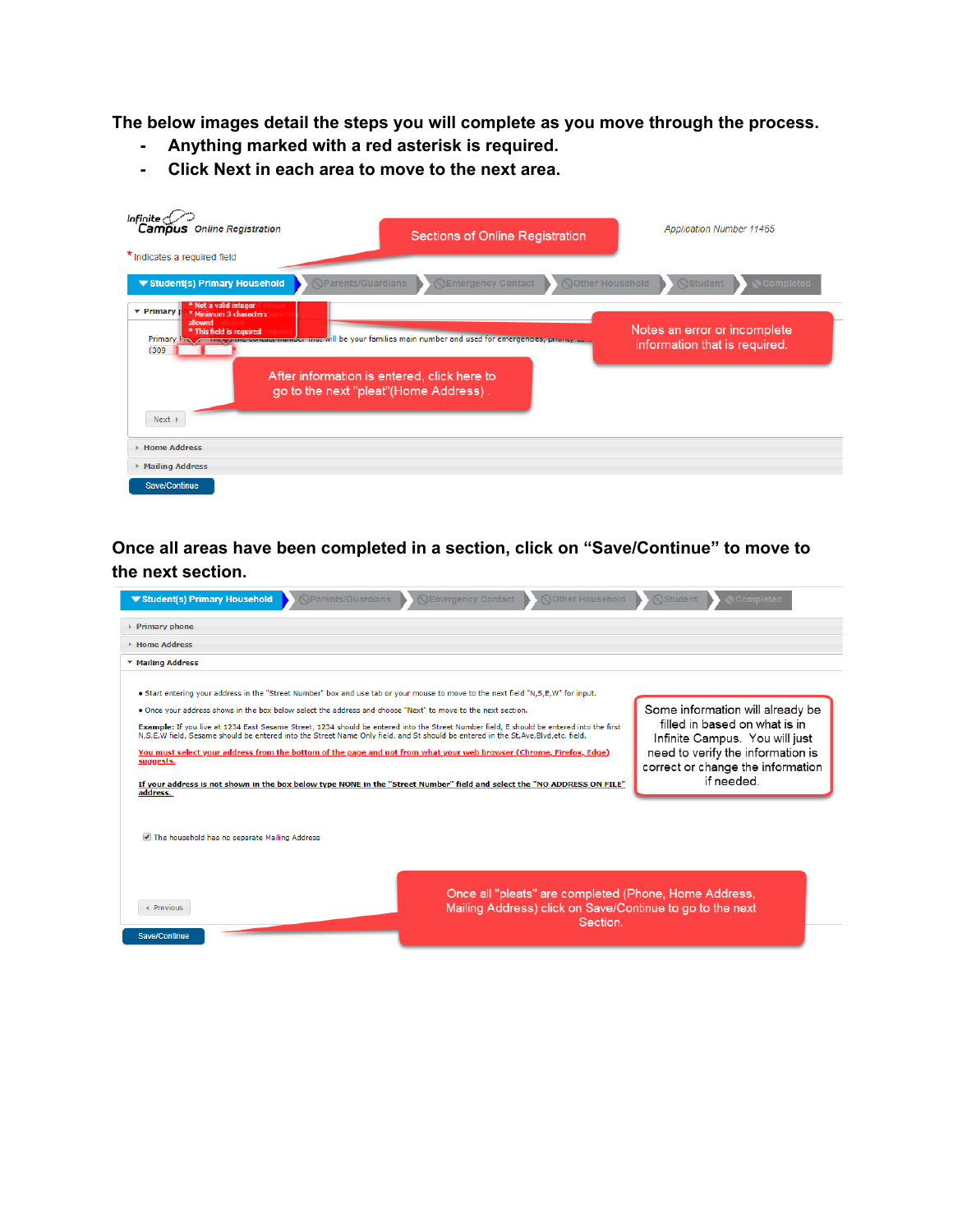**The below images detail the steps you will complete as you move through the process.**

- **- Anything marked with a red asterisk is required.**
- **- Click Next in each area to move to the next area.**

| Infinite $\triangle$<br>Campus Online Registration                                                                                                                                                                                                                                                                                                 | <b>Sections of Online Registration</b>               | <b>Application Number 11465</b>                               |
|----------------------------------------------------------------------------------------------------------------------------------------------------------------------------------------------------------------------------------------------------------------------------------------------------------------------------------------------------|------------------------------------------------------|---------------------------------------------------------------|
| * Indicates a required field                                                                                                                                                                                                                                                                                                                       |                                                      |                                                               |
| <b>NParents/Guardians</b><br>▼ Student(s) Primary Household                                                                                                                                                                                                                                                                                        | <b>Nother Household</b><br><b>NEmergency Contact</b> | <b>Student</b><br><b>Completed</b>                            |
| * Not a valid integer<br><b>v</b> Primary<br>* Minimum 3 characters<br>allowed<br>* This field is required<br>Primary Final Accounts of the contact number that will be your families main number and used for emergencies, priority com-<br>(309)<br>After information is entered, click here to<br>go to the next "pleat"(Home Address).<br>Next |                                                      | Notes an error or incomplete<br>information that is required. |
| <b>Eddress</b>                                                                                                                                                                                                                                                                                                                                     |                                                      |                                                               |
| ▶ Mailing Address                                                                                                                                                                                                                                                                                                                                  |                                                      |                                                               |
| <b>Save/Continue</b>                                                                                                                                                                                                                                                                                                                               |                                                      |                                                               |

**Once all areas have been completed in a section, click on "Save/Continue" to move to the next section.**

| <b>NParents/Guardians</b><br><b>NEmergency Contact</b><br><b>Nother Household</b><br>▼ Student(s) Primary Household                                                                                                                                                                                                                                                                                                                                                                                                                                                                                                                                                                                                                                                                                                                                            | <b>Student</b><br><b>Completed</b>                                                                                                                                                          |  |  |  |
|----------------------------------------------------------------------------------------------------------------------------------------------------------------------------------------------------------------------------------------------------------------------------------------------------------------------------------------------------------------------------------------------------------------------------------------------------------------------------------------------------------------------------------------------------------------------------------------------------------------------------------------------------------------------------------------------------------------------------------------------------------------------------------------------------------------------------------------------------------------|---------------------------------------------------------------------------------------------------------------------------------------------------------------------------------------------|--|--|--|
| ▶ Primary phone                                                                                                                                                                                                                                                                                                                                                                                                                                                                                                                                                                                                                                                                                                                                                                                                                                                |                                                                                                                                                                                             |  |  |  |
| Home Address                                                                                                                                                                                                                                                                                                                                                                                                                                                                                                                                                                                                                                                                                                                                                                                                                                                   |                                                                                                                                                                                             |  |  |  |
| ▼ Mailing Address                                                                                                                                                                                                                                                                                                                                                                                                                                                                                                                                                                                                                                                                                                                                                                                                                                              |                                                                                                                                                                                             |  |  |  |
| . Start entering your address in the "Street Number" box and use tab or your mouse to move to the next field "N,S,E,W" for input.<br>. Once your address shows in the box below select the address and choose "Next" to move to the next section.<br>Example: If you live at 1234 East Sesame Street, 1234 should be entered into the Street Number field, E should be entered into the first<br>N.S.E.W field, Sesame should be entered into the Street Name Only field, and St should be entered in the St.Ave,Blvd,etc. field.<br>You must select your address from the bottom of the page and not from what your web browser (Chrome, Firefox, Edge)<br>suggests.<br>If your address is not shown in the box below type NONE in the "Street Number" field and select the "NO ADDRESS ON FILE"<br>address.<br>The household has no separate Mailing Address | Some information will already be<br>filled in based on what is in<br>Infinite Campus. You will just<br>need to verify the information is<br>correct or change the information<br>if needed. |  |  |  |
| Once all "pleats" are completed (Phone, Home Address,<br>Mailing Address) click on Save/Continue to go to the next<br>4 Previous<br>Section.<br><b>Save/Continue</b>                                                                                                                                                                                                                                                                                                                                                                                                                                                                                                                                                                                                                                                                                           |                                                                                                                                                                                             |  |  |  |